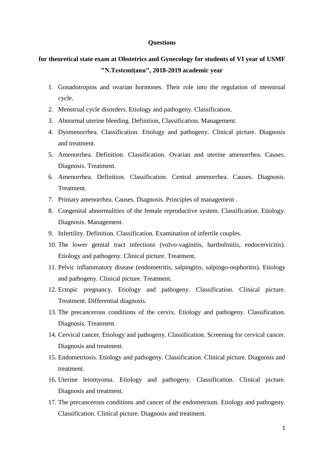## **Questions**

## **for theoretical state exam at Obstetrics and Gynecology for students of VI year of USMF "N.Testemiţanu", 2018-2019 academic year**

- 1. Gonadotropins and ovarian hormones. Their role into the regulation of menstrual cycle.
- 2. Menstrual cycle disorders. Etiology and pathogeny. Classification.
- 3. Abnormal uterine bleeding. Definition, Classification. Management.
- 4. Dysmenorrhea. Classification. Etiology and pathogeny. Clinical picture. Diagnosis and treatment.
- 5. Amenorrhea. Definition. Classification. Ovarian and uterine amenorrhea. Causes. Diagnosis. Treatment.
- 6. Amenorrhea. Definition. Classification. Central amenorrhea. Causes. Diagnosis. Treatment.
- 7. Primary amenorrhea. Causes. Diagnosis. Principles of management .
- 8. Congenital abnormalities of the female reproductive system. Classification. Etiology. Diagnosis. Management.
- 9. Infertility. Definition. Classification. Examination of infertile couples.
- 10. The lower genital tract infections (vulvo-vaginitis, bartholinitis, endocervicitis). Etiology and pathogeny. Clinical picture. Treatment.
- 11. Pelvic inflammatory disease (endometritis, salpingitis, salpingo-oophoritis). Etiology and pathogeny. Clinical picture. Treatment.
- 12. Ectopic pregnancy. Etiology and pathogeny. Classification. Clinical picture. Treatment. Differential diagnosis.
- 13. The precancerous conditions of the cervix. Etiology and pathogeny. Classification. Diagnosis. Treatment.
- 14. Cervical cancer. Etiology and pathogeny. Classification. Screening for cervical cancer. Diagnosis and treatment.
- 15. Endometriosis. Etiology and pathogeny. Classification. Clinical picture. Diagnosis and treatment.
- 16. Uterine leiomyoma. Etiology and pathogeny. Classification. Clinical picture. Diagnosis and treatment.
- 17. The precancerous conditions and cancer of the endometrium. Etiology and pathogeny. Classification. Clinical picture. Diagnosis and treatment.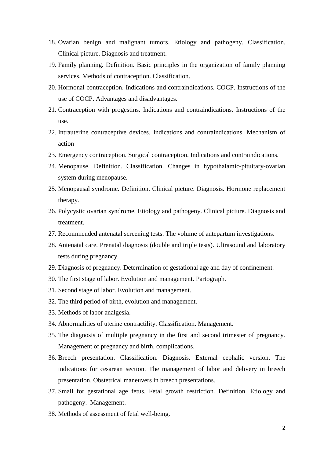- 18. Ovarian benign and malignant tumors. Etiology and pathogeny. Classification. Clinical picture. Diagnosis and treatment.
- 19. Family planning. Definition. Basic principles in the organization of family planning services. Methods of contraception. Classification.
- 20. Hormonal contraception. Indications and contraindications. COCP. Instructions of the use of COCP. Advantages and disadvantages.
- 21. Contraception with progestins. Indications and contraindications. Instructions of the use.
- 22. Intrauterine contraceptive devices. Indications and contraindications. Mechanism of action
- 23. Emergency contraception. Surgical contraception. Indications and contraindications.
- 24. Menopause. Definition. Classification. Changes in hypothalamic-pituitary-ovarian system during menopause.
- 25. Menopausal syndrome. Definition. Clinical picture. Diagnosis. Hormone replacement therapy.
- 26. Polycystic ovarian syndrome. Etiology and pathogeny. Clinical picture. Diagnosis and treatment.
- 27. Recommended antenatal screening tests. The volume of antepartum investigations.
- 28. Antenatal care. Prenatal diagnosis (double and triple tests). Ultrasound and laboratory tests during pregnancy.
- 29. Diagnosis of pregnancy. Determination of gestational age and day of confinement.
- 30. The first stage of labor. Evolution and management. Partograph.
- 31. Second stage of labor. Evolution and management.
- 32. The third period of birth, evolution and management.
- 33. Methods of labor analgesia.
- 34. Abnormalities of uterine contractility. Classification. Management.
- 35. The diagnosis of multiple pregnancy in the first and second trimester of pregnancy. Management of pregnancy and birth, complications.
- 36. Breech presentation. Classification. Diagnosis. External cephalic version. The indications for cesarean section. The management of labor and delivery in breech presentation. Obstetrical maneuvers in breech presentations.
- 37. Small for gestational age fetus. Fetal growth restriction. Definition. Etiology and pathogeny. Management.
- 38. Methods of assessment of fetal well-being.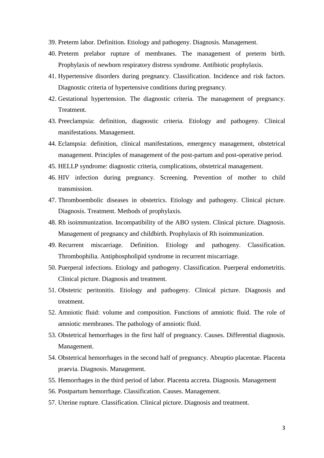- 39. Preterm labor. Definition. Etiology and pathogeny. Diagnosis. Management.
- 40. Preterm prelabor rupture of membranes. The management of preterm birth. Prophylaxis of newborn respiratory distress syndrome. Antibiotic prophylaxis.
- 41. Hypertensive disorders during pregnancy. Classification. Incidence and risk factors. Diagnostic criteria of hypertensive conditions during pregnancy.
- 42. Gestational hypertension. The diagnostic criteria. The management of pregnancy. Treatment.
- 43. Preeclampsia: definition, diagnostic criteria. Etiology and pathogeny. Clinical manifestations. Management.
- 44. Eclampsia: definition, clinical manifestations, emergency management, obstetrical management. Principles of management of the post-partum and post-operative period.
- 45. HELLP syndrome: diagnostic criteria, complications, obstetrical management.
- 46. HIV infection during pregnancy. Screening. Prevention of mother to child transmission.
- 47. Thromboembolic diseases in obstetrics. Etiology and pathogeny. Clinical picture. Diagnosis. Treatment. Methods of prophylaxis.
- 48. Rh isoimmunization. Incompatibility of the ABO system. Clinical picture. Diagnosis. Management of pregnancy and childbirth. Prophylaxis of Rh isoimmunization.
- 49. Recurrent miscarriage. Definition. Etiology and pathogeny. Classification. Thrombophilia. Antiphospholipid syndrome in recurrent miscarriage.
- 50. Puerperal infections. Etiology and pathogeny. Classification. Puerperal endometritis. Clinical picture. Diagnosis and treatment.
- 51. Obstetric peritonitis. Etiology and pathogeny. Clinical picture. Diagnosis and treatment.
- 52. Amniotic fluid: volume and composition. Functions of amniotic fluid. The role of amniotic membranes. The pathology of amniotic fluid.
- 53. Obstetrical hemorrhages in the first half of pregnancy. Causes. Differential diagnosis. Management.
- 54. Obstetrical hemorrhages in the second half of pregnancy. Abruptio placentae. Placenta praevia. Diagnosis. Management.
- 55. Hemorrhages in the third period of labor. Placenta accreta. Diagnosis. Management
- 56. Postpartum hemorrhage. Classification. Causes. Management.
- 57. Uterine rupture. Classification. Clinical picture. Diagnosis and treatment.